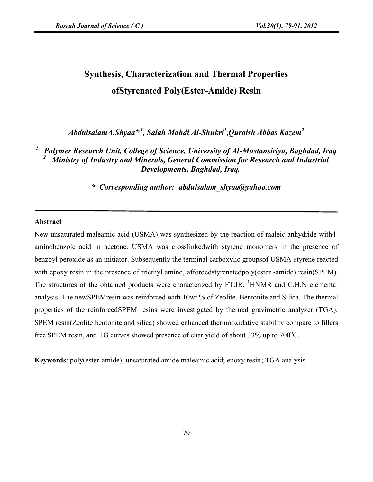# **Synthesis, Characterization and Thermal Properties ofStyrenated Poly(Ester-Amide) Resin**

*AbdulsalamA.Shyaa\* ,1 , Salah Mahdi Al-Shukri<sup>1</sup> ,Quraish Abbas Kazem<sup>2</sup>*

*<sup>1</sup> Polymer Research Unit, College of Science, University of Al-Mustansiriya, Baghdad, Iraq <sup>2</sup> Ministry of Industry and Minerals, General Commission for Research and Industrial Developments, Baghdad, Iraq.*

*\* Corresponding author: abdulsalam\_shyaa@yahoo.com*

### **Abstract**

New unsaturated maleamic acid (USMA) was synthesized by the reaction of maleic anhydride with4 aminobenzoic acid in acetone. USMA was crosslinkedwith styrene monomers in the presence of benzoyl peroxide as an initiator. Subsequently the terminal carboxylic groupsof USMA-styrene reacted with epoxy resin in the presence of triethyl amine, affordedstyrenatedpoly(ester -amide) resin(SPEM). The structures of the obtained products were characterized by FT:IR, <sup>1</sup>HNMR and C.H.N elemental analysis. The newSPEMresin was reinforced with 10wt.% of Zeolite, Bentonite and Silica. The thermal properties of the reinforcedSPEM resins were investigated by thermal gravimetric analyzer (TGA). SPEM resin(Zeolite bentonite and silica) showed enhanced thermooxidative stability compare to fillers free SPEM resin, and TG curves showed presence of char yield of about  $33\%$  up to  $700^{\circ}$ C.

**Keywords**: poly(ester-amide); unsaturated amide maleamic acid; epoxy resin; TGA analysis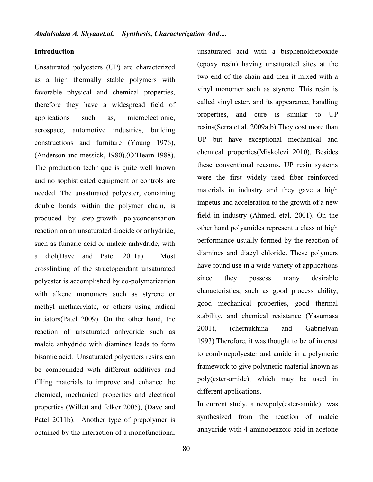## **Introduction**

Unsaturated polyesters (UP) are characterized as a high thermally stable polymers with favorable physical and chemical properties, therefore they have a widespread field of applications such as, microelectronic, aerospace, automotive industries, building constructions and furniture (Young 1976), (Anderson and messick, 1980),(O'Hearn 1988). The production technique is quite well known and no sophisticated equipment or controls are needed. The unsaturated polyester, containing double bonds within the polymer chain, is produced by step-growth polycondensation reaction on an unsaturated diacide or anhydride, such as fumaric acid or maleic anhydride, with a diol(Dave and Patel 2011a). Most crosslinking of the structopendant unsaturated polyester is accomplished by co-polymerization with alkene monomers such as styrene or methyl methacrylate, or others using radical initiators(Patel 2009). On the other hand, the reaction of unsaturated anhydride such as maleic anhydride with diamines leads to form bisamic acid. Unsaturated polyesters resins can be compounded with different additives and filling materials to improve and enhance the chemical, mechanical properties and electrical properties (Willett and felker 2005), (Dave and Patel 2011b). Another type of prepolymer is obtained by the interaction of a monofunctional

unsaturated acid with a bisphenoldiepoxide (epoxy resin) having unsaturated sites at the two end of the chain and then it mixed with a vinyl monomer such as styrene. This resin is called vinyl ester, and its appearance, handling properties, and cure is similar to UP resins(Serra et al. 2009a,b).They cost more than UP but have exceptional mechanical and chemical properties(Miskolczi 2010). Besides these conventional reasons, UP resin systems were the first widely used fiber reinforced materials in industry and they gave a high impetus and acceleration to the growth of a new field in industry (Ahmed, etal. 2001). On the other hand polyamides represent a class of high performance usually formed by the reaction of diamines and diacyl chloride. These polymers have found use in a wide variety of applications they possess many desirable characteristics, such as good process ability, good mechanical properties, good thermal stability, and chemical resistance (Yasumasa 2001), (chernukhina and Gabrielyan 1993).Therefore, it was thought to be of interest to combinepolyester and amide in a polymeric framework to give polymeric material known as poly(ester-amide), which may be used in different applications.

In current study, a newpoly(ester-amide) was synthesized from the reaction of maleic anhydride with 4-aminobenzoic acid in acetone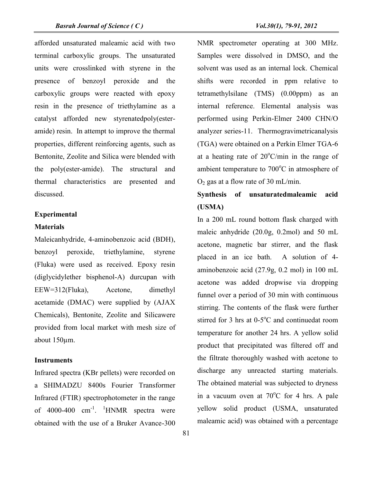afforded unsaturated maleamic acid with two terminal carboxylic groups. The unsaturated units were crosslinked with styrene in the presence of benzoyl peroxide and the carboxylic groups were reacted with epoxy resin in the presence of triethylamine as a catalyst afforded new styrenatedpoly(ester amide) resin. In attempt to improve the thermal properties, different reinforcing agents, such as Bentonite, Zeolite and Silica were blended with the poly(ester-amide). The structural and thermal characteristics are presented and discussed.

# **Experimental**

#### **Materials**

Maleicanhydride, 4-aminobenzoic acid (BDH), benzoyl peroxide, triethylamine, styrene (Fluka) were used as received. Epoxy resin (diglycidylether bisphenol-A) durcupan with EEW=312(Fluka), Acetone, dimethyl acetamide (DMAC) were supplied by (AJAX Chemicals), Bentonite, Zeolite and Silicawere provided from local market with mesh size of about 150µm.

## **Instruments**

Infrared spectra (KBr pellets) were recorded on a SHIMADZU 8400s Fourier Transformer Infrared (FTIR) spectrophotometer in the range of 4000-400  $cm^{-1}$ . <sup>1</sup>HNMR spectra were  $\qquad$ obtained with the use of a Bruker Avance-300

NMR spectrometer operating at 300 MHz. Samples were dissolved in DMSO, and the solvent was used as an internal lock. Chemical shifts were recorded in ppm relative to tetramethylsilane (TMS) (0.00ppm) as an internal reference. Elemental analysis was performed using Perkin-Elmer 2400 CHN/O analyzer series-11. Thermogravimetricanalysis (TGA) were obtained on a Perkin Elmer TGA-6 at a heating rate of  $20^{\circ}$ C/min in the range of ambient temperature to  $700^{\circ}$ C in atmosphere of  $O_2$  gas at a flow rate of 30 mL/min.

# **Synthesis of unsaturatedmaleamic acid (USMA)**

In a 200 mL round bottom flask charged with maleic anhydride (20.0g, 0.2mol) and 50 mL acetone, magnetic bar stirrer, and the flask placed in an ice bath. A solution of 4 aminobenzoic acid (27.9g, 0.2 mol) in 100 mL acetone was added dropwise via dropping funnel over a period of 30 min with continuous stirring. The contents of the flask were further stirred for 3 hrs at  $0-5$ °C and continuedat room temperature for another 24 hrs. A yellow solid product that precipitated was filtered off and the filtrate thoroughly washed with acetone to discharge any unreacted starting materials. The obtained material was subjected to dryness in a vacuum oven at  $70^{\circ}$ C for 4 hrs. A pale yellow solid product (USMA, unsaturated maleamic acid) was obtained with a percentage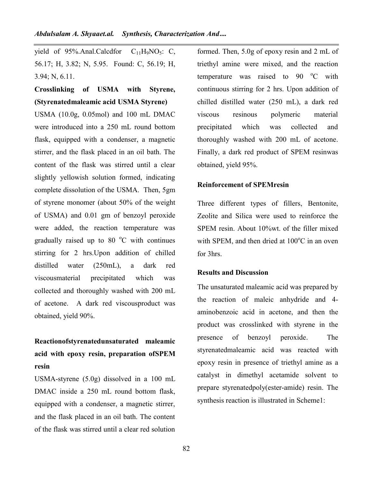yield of  $95\%$ .Anal.Calcdfor  $C_{11}H_9NO_5$ : C, 56.17; H, 3.82; N, 5.95. Found: C, 56.19; H, 3.94; N, 6.11.

# **Crosslinking of USMA with Styrene, (Styrenatedmaleamic acid USMA Styrene)**

USMA (10.0g, 0.05mol) and 100 mL DMAC were introduced into a 250 mL round bottom flask, equipped with a condenser, a magnetic stirrer, and the flask placed in an oil bath. The content of the flask was stirred until a clear slightly yellowish solution formed, indicating complete dissolution of the USMA. Then, 5gm of styrene monomer (about 50% of the weight of USMA) and 0.01 gm of benzoyl peroxide were added, the reaction temperature was gradually raised up to 80  $^{\circ}$ C with continues stirring for 2 hrs.Upon addition of chilled distilled water (250mL), a dark red viscousmaterial precipitated which was collected and thoroughly washed with 200 mL of acetone. A dark red viscousproduct was obtained, yield 90%.

# **Reactionofstyrenatedunsaturated maleamic acid with epoxy resin, preparation ofSPEM resin**

USMA-styrene (5.0g) dissolved in a 100 mL DMAC inside a 250 mL round bottom flask, equipped with a condenser, a magnetic stirrer, and the flask placed in an oil bath. The content of the flask was stirred until a clear red solution

formed. Then, 5.0g of epoxy resin and 2 mL of triethyl amine were mixed, and the reaction temperature was raised to  $90 °C$  with continuous stirring for 2 hrs. Upon addition of chilled distilled water (250 mL), a dark red resinous polymeric material precipitated which was collected and thoroughly washed with 200 mL of acetone. Finally, a dark red product of SPEM resinwas obtained, yield 95%.

# **Reinforcement of SPEMresin**

Three different types of fillers, Bentonite, Zeolite and Silica were used to reinforce the SPEM resin. About 10%wt. of the filler mixed with SPEM, and then dried at  $100^{\circ}$ C in an oven for 3hrs.

# **Results and Discussion**

The unsaturated maleamic acid was prepared by the reaction of maleic anhydride and 4 aminobenzoic acid in acetone, and then the product was crosslinked with styrene in the of benzoyl peroxide. The styrenatedmaleamic acid was reacted with epoxy resin in presence of triethyl amine as a catalyst in dimethyl acetamide solvent to prepare styrenatedpoly(ester-amide) resin. The synthesis reaction is illustrated in Scheme1: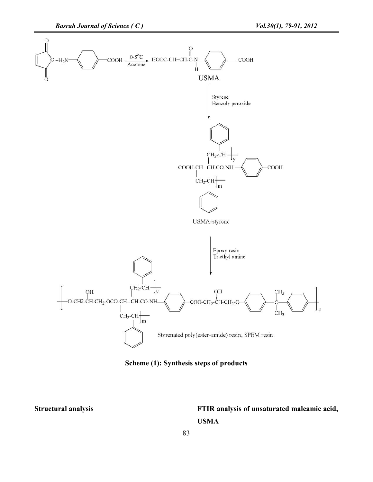

**Scheme (1): Synthesis steps of products**

# **Structural analysis FTIR analysis of unsaturated maleamic acid, USMA**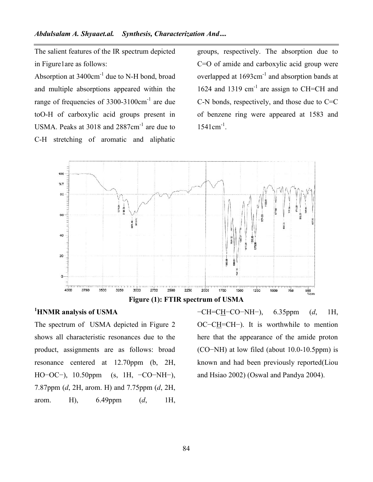The salient features of the IR spectrum depicted in Figure1are as follows:

Absorption at  $3400 \text{cm}^{-1}$  due to N-H bond, broad and multiple absorptions appeared within the range of frequencies of 3300-3100cm-1 are due toO-H of carboxylic acid groups present in USMA. Peaks at 3018 and 2887cm<sup>-1</sup> are due to C-H stretching of aromatic and aliphatic

groups, respectively. The absorption due to C=O of amide and carboxylic acid group were overlapped at  $1693 \text{cm}^{-1}$  and absorption bands at 1624 and 1319  $cm^{-1}$  are assign to CH=CH and C-N bonds, respectively, and those due to C=C of benzene ring were appeared at 1583 and  $1541 \text{cm}^{-1}$ .



**Figure (1): FTIR spectrum of USMA**

# **<sup>1</sup>HNMR analysis of USMA**

The spectrum of USMA depicted in Figure 2 shows all characteristic resonances due to the product, assignments are as follows: broad resonance centered at 12.70ppm (b, 2H, HO−OC−), 10.50ppm (s, 1H, −CO−NH−), 7.87ppm (*d*, 2H, arom. H) and 7.75ppm (*d*, 2H, arom. H), 6.49ppm (*d*, 1H,

−CH=CH−CO−NH−), 6.35ppm (*d*, 1H, OC−CH=CH−). It is worthwhile to mention here that the appearance of the amide proton (CO−NH) at low filed (about 10.0-10.5ppm) is known and had been previously reported(Liou and Hsiao 2002) (Oswal and Pandya 2004).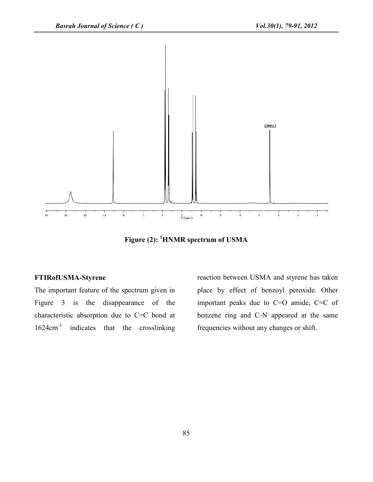

**Figure (2): <sup>1</sup>HNMR spectrum of USMA**

## **FTIRofUSMA-Styrene**

The important feature of the spectrum given in Figure 3 is the disappearance of the characteristic absorption due to C=C bond at 1624cm<sup>-1</sup> indicates that the crosslinking fr

reaction between USMA and styrene has taken place by effect of benzoyl peroxide. Other important peaks due to C=O amide, C=C of benzene ring and C-N appeared at the same frequencies without any changes or shift.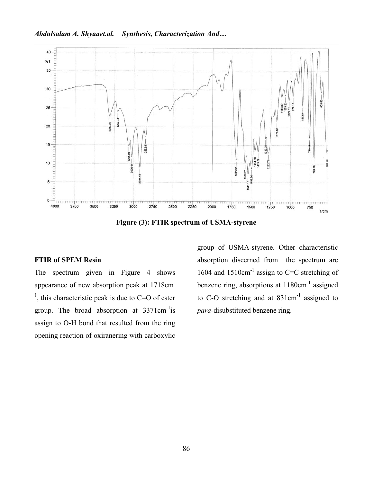

**Figure (3): FTIR spectrum of USMA-styrene**

# **FTIR of SPEM Resin**

The spectrum given in Figure 4 shows appearance of new absorption peak at 1718cm- <sup>1</sup>, this characteristic peak is due to C=O of ester group. The broad absorption at 3371cm<sup>-1</sup>is assign to O-H bond that resulted from the ring opening reaction of oxiranering with carboxylic

group of USMA-styrene. Other characteristic absorption discerned from the spectrum are 1604 and  $1510 \text{cm}^{-1}$  assign to C=C stretching of benzene ring, absorptions at 1180cm-1 assigned to C-O stretching and at 831cm<sup>-1</sup> assigned to *para-*disubstituted benzene ring.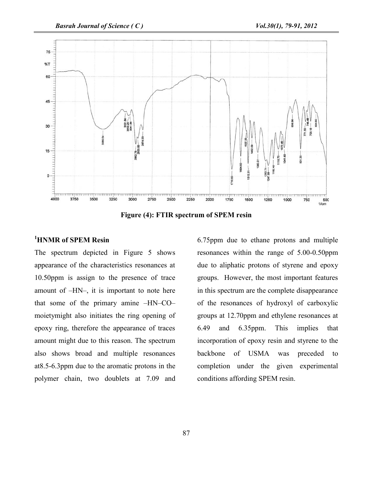

**Figure (4): FTIR spectrum of SPEM resin**

# **<sup>1</sup>HNMR of SPEM Resin**

The spectrum depicted in Figure 5 shows appearance of the characteristics resonances at 10.50ppm is assign to the presence of trace amount of –HN–, it is important to note here that some of the primary amine –HN–CO– moietymight also initiates the ring opening of epoxy ring, therefore the appearance of traces amount might due to this reason. The spectrum also shows broad and multiple resonances at8.5-6.3ppm due to the aromatic protons in the polymer chain, two doublets at 7.09 and

6.75ppm due to ethane protons and multiple resonances within the range of 5.00-0.50ppm due to aliphatic protons of styrene and epoxy groups. However, the most important features in this spectrum are the complete disappearance of the resonances of hydroxyl of carboxylic groups at 12.70ppm and ethylene resonances at 6.49 and 6.35ppm. This implies that incorporation of epoxy resin and styrene to the backbone of USMA was preceded to completion under the given experimental conditions affording SPEM resin.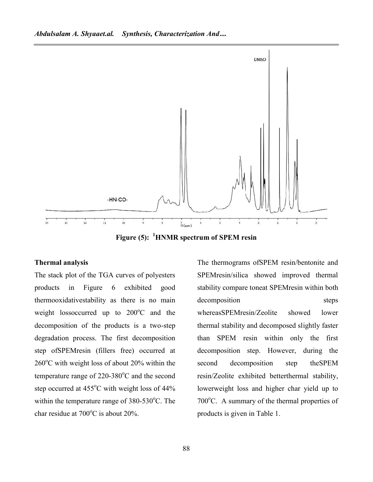

**Figure (5): <sup>1</sup>HNMR spectrum of SPEM resin**

### **Thermal analysis**

The stack plot of the TGA curves of polyesters products in Figure 6 exhibited good thermooxidativestability as there is no main weight lossoccurred up to  $200^{\circ}$ C and the decomposition of the products is a two-step degradation process. The first decomposition step ofSPEMresin (fillers free) occurred at  $260^{\circ}$ C with weight loss of about 20% within the second temperature range of  $220-380^{\circ}$ C and the second step occurred at 455°C with weight loss of 44% within the temperature range of  $380-530^{\circ}$ C. The char residue at  $700^{\circ}$ C is about 20%.

The thermograms ofSPEM resin/bentonite and SPEMresin/silica showed improved thermal stability compare toneat SPEMresin within both decomposition steps whereasSPEMresin/Zeolite showed lower thermal stability and decomposed slightly faster than SPEM resin within only the first decomposition step. However, during the decomposition step theSPEM resin/Zeolite exhibited betterthermal stability, lowerweight loss and higher char yield up to  $700^{\circ}$ C. A summary of the thermal properties of products is given in Table 1.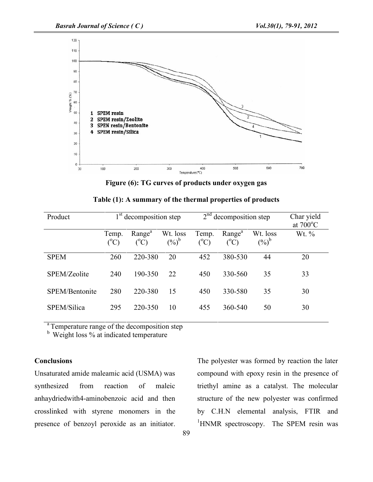

**Figure (6): TG curves of products under oxygen gas**

| Product        | $1st$ decomposition step |                                 |                            | $2nd$ decomposition step |                                 |                     | Char yield<br>at $700^{\circ}$ C |
|----------------|--------------------------|---------------------------------|----------------------------|--------------------------|---------------------------------|---------------------|----------------------------------|
|                | Temp.<br>$(^{o}C)$       | Range <sup>a</sup><br>$(^{o}C)$ | Wt. loss<br>$(\%)^{\flat}$ | Temp.<br>$({}^{\circ}C)$ | Range <sup>a</sup><br>$({}^oC)$ | Wt. loss<br>$(%)^b$ | Wt. $\%$                         |
| <b>SPEM</b>    | 260                      | 220-380                         | 20                         | 452                      | 380-530                         | 44                  | 20                               |
| SPEM/Zeolite   | 240                      | 190-350                         | 22                         | 450                      | 330-560                         | 35                  | 33                               |
| SPEM/Bentonite | 280                      | 220-380                         | 15                         | 450                      | 330-580                         | 35                  | 30                               |
| SPEM/Silica    | 295                      | 220-350                         | 10                         | 455                      | 360-540                         | 50                  | 30                               |

**Table (1): A summary of the thermal properties of products**

<sup>a</sup> Temperature range of the decomposition step

<sup>b</sup> Weight loss % at indicated temperature

# **Conclusions**

Unsaturated amide maleamic acid (USMA) was synthesized from reaction of maleic anhaydriedwith4-aminobenzoic acid and then crosslinked with styrene monomers in the presence of benzoyl peroxide as an initiator.

The polyester was formed by reaction the later compound with epoxy resin in the presence of triethyl amine as a catalyst. The molecular structure of the new polyester was confirmed by C.H.N elemental analysis, FTIR and <sup>1</sup>HNMR spectroscopy. The SPEM resin was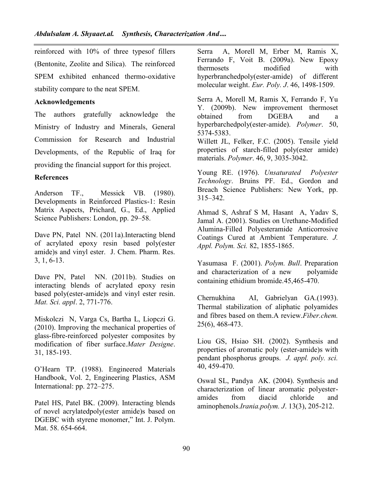reinforced with 10% of three typesof fillers (Bentonite, Zeolite and Silica). The reinforced SPEM exhibited enhanced thermo-oxidative stability compare to the neat SPEM.

# **Acknowledgements**

The authors gratefully acknowledge the obtained Ministry of Industry and Minerals, General Commission for Research and Industrial Developments, of the Republic of Iraq for providing the financial support for this project.

# **References**

Anderson TF., Messick VB. (1980). Developments in Reinforced Plastics-1: Resin Matrix Aspects, Prichard, G., Ed., Applied Science Publishers: London, pp. 29–58.

Dave PN, Patel NN. (2011a). Interacting blend of acrylated epoxy resin based poly(ester amide)s and vinyl ester. J. Chem. Pharm. Res. 3, 1, 6-13.

Dave PN, Patel NN. (2011b). Studies on interacting blends of acrylated epoxy resin based poly(ester-amide)s and vinyl ester resin. *Mat. Sci. appl*. 2, 771-776.

Miskolczi N, Varga Cs, Bartha L, Liopczi G. (2010). Improving the mechanical properties of glass-fibre-reinforced polyester composites by modification of fiber surface.*Mater Designe*. 31, 185-193.

O'Hearn TP. (1988). Engineered Materials Handbook, Vol. 2, Engineering Plastics, ASM International: pp. 272–275.

Patel HS, Patel BK. (2009). Interacting blends of novel acrylatedpoly(ester amide)s based on DGEBC with styrene monomer," Int. J. Polym. Mat. 58. 654-664.

Serra A, Morell M, Erber M, Ramis X, Ferrando F, Voit B. (2009a). New Epoxy thermosets modified with hyperbranchedpoly(ester-amide) of different molecular weight. *Eur. Poly. J*. 46, 1498-1509.

Serra A, Morell M, Ramis X, Ferrando F, Yu Y. (2009b). New improvement thermoset from DGEBA and a hyperbarchedpoly(ester-amide). *Polymer*. 50, 5374-5383.

Willett JL, Felker, F.C. (2005). Tensile yield properties of starch-filled poly(ester amide) materials. *Polymer*. 46, 9, 3035-3042.

Young RE. (1976). *Unsaturated Polyester Technology*. Bruins PF. Ed., Gordon and Breach Science Publishers: New York, pp. 315–342.

Ahmad S, Ashraf S M, Hasant A, Yadav S, Jamal A. (2001). Studies on Urethane-Modified Alumina-Filled Polyesteramide Anticorrosive Coatings Cured at Ambient Temperature. *J. Appl. Polym. Sci.* 82, 1855-1865.

Yasumasa F. (2001). *Polym. Bull*. Preparation and characterization of a new polyamide containing ethidium bromide.45,465-470.

Chernukhina AI, Gabrielyan GA.(1993). Thermal stabilization of aliphatic polyamides and fibres based on them.A review.*Fiber.chem.* 25(6), 468-473.

Liou GS, Hsiao SH. (2002). Synthesis and properties of aromatic poly (ester-amide)s with pendant phosphorus groups. *J. appl. poly. sci.* 40, 459-470.

Oswal SL, Pandya AK. (2004). Synthesis and characterization of linear aromatic polyester amides from diacid chloride and aminophenols.*Irania.polym. J*. 13(3), 205-212.